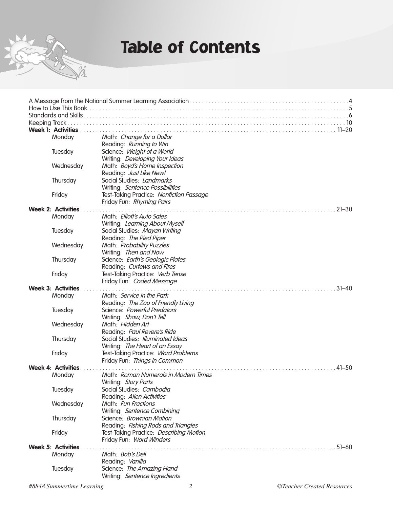

## Table of Contents

| Keeping Track             | .10                                      |
|---------------------------|------------------------------------------|
| <b>Week 1: Activities</b> |                                          |
| Monday                    | Math: Change for a Dollar                |
|                           | Reading: Running to Win                  |
| Tuesday                   | Science: Weight of a World               |
|                           | Writing: Developing Your Ideas           |
| Wednesday                 | Math: Boyd's Home Inspection             |
|                           | Reading: Just Like New!                  |
| Thursday                  | Social Studies: Landmarks                |
|                           | Writing: Sentence Possibilities          |
| Friday                    | Test-Taking Practice: Nonfiction Passage |
|                           | Friday Fun: Rhyming Pairs                |
| <b>Week 2: Activities</b> | $21 - 30$                                |
| Monday                    | Math: Elliott's Auto Sales               |
|                           | Writing: Learning About Myself           |
| Tuesday                   | Social Studies: Mayan Writing            |
|                           | Reading: The Pied Piper                  |
| Wednesday                 | Math: Probability Puzzles                |
|                           | Writing: Then and Now                    |
| Thursday                  | Science: Earth's Geologic Plates         |
|                           | Reading: Curfews and Fires               |
| Friday                    | Test-Taking Practice: Verb Tense         |
|                           | Friday Fun: Coded Message                |
| <b>Week 3: Activities</b> | $31 - 40$                                |
| Monday                    | Math: Service in the Park                |
|                           | Reading: The Zoo of Friendly Living      |
| Tuesday                   | Science: Powerful Predators              |
|                           | Writing: Show, Don't Tell                |
| Wednesday                 | Math: Hidden Art                         |
|                           | Reading: Paul Revere's Ride              |
| Thursday                  | Social Studies: Illuminated Ideas        |
|                           | Writing: The Heart of an Essay           |
| Friday                    | Test-Taking Practice: Word Problems      |
|                           | Friday Fun: Things in Common             |
| <b>Week 4: Activities</b> | $41 - 50$                                |
| Monday                    | Math: Roman Numerals in Modern Times     |
|                           | Writing: Story Parts                     |
| Tuesday                   | Social Studies: Cambodia                 |
|                           | Reading: Alien Activities                |
| Wednesday                 | Math: Fun Fractions                      |
|                           | Writing: Sentence Combining              |
| Thursday                  | Science: Brownian Motion                 |
|                           | Reading: Fishing Rods and Triangles      |
| Friday                    | Test-Taking Practice: Describing Motion  |
|                           | Friday Fun: Word Winders                 |
| <b>Week 5: Activities</b> | $51 - 60$                                |
| Monday                    | Math: Bob's Deli                         |
|                           | Reading: Vanilla                         |
| Tuesday                   | Science: The Amazing Hand                |
|                           | Writing: Sentence Ingredients            |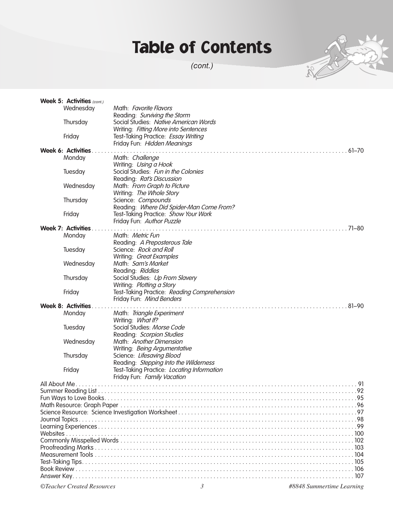## Table of Contents

*(cont.)*



|               | Week 5: Activities $(cont.)$ |                                             |  |  |  |  |
|---------------|------------------------------|---------------------------------------------|--|--|--|--|
|               | Wednesday                    | Math: Favorite Flavors                      |  |  |  |  |
|               |                              | Reading: Surviving the Storm                |  |  |  |  |
|               | Thursday                     | Social Studies: Native American Words       |  |  |  |  |
|               |                              | Writing: Fitting More into Sentences        |  |  |  |  |
|               | Friday                       | Test-Taking Practice: Essay Writing         |  |  |  |  |
|               |                              | Friday Fun: Hidden Meanings                 |  |  |  |  |
|               | Week 6: Activities.          | $\ldots$ 61–70                              |  |  |  |  |
|               | Monday                       | Math: Challenge                             |  |  |  |  |
|               |                              | Writing: Using a Hook                       |  |  |  |  |
|               | Tuesday                      | Social Studies: Fun in the Colonies         |  |  |  |  |
|               |                              | Reading: Rat's Discussion                   |  |  |  |  |
|               | Wednesday                    | Math: From Graph to Picture                 |  |  |  |  |
|               |                              | Writing: The Whole Story                    |  |  |  |  |
|               | Thursday                     | Science: Compounds                          |  |  |  |  |
|               |                              | Reading: Where Did Spider-Man Come From?    |  |  |  |  |
|               | Friday                       | Test-Taking Practice: Show Your Work        |  |  |  |  |
|               |                              | Friday Fun: Author Puzzle                   |  |  |  |  |
|               | <b>Week 7: Activities.</b>   | $\ldots$ 71–80                              |  |  |  |  |
|               | Monday                       | Math: <i>Metric Fun</i>                     |  |  |  |  |
|               |                              | Reading: A Preposterous Tale                |  |  |  |  |
|               | Tuesday                      | Science: Rock and Roll                      |  |  |  |  |
|               |                              | Writing: Great Examples                     |  |  |  |  |
|               | Wednesday                    | Math: Sam's Market                          |  |  |  |  |
|               |                              | Reading: Riddles                            |  |  |  |  |
|               | Thursday                     | Social Studies: Up From Slavery             |  |  |  |  |
|               |                              | Writing: Plotting a Story                   |  |  |  |  |
|               | Friday                       | Test-Taking Practice: Reading Comprehension |  |  |  |  |
|               |                              | Friday Fun: Mind Benders                    |  |  |  |  |
|               | <b>Week 8: Activities.</b>   | $81 - 90$                                   |  |  |  |  |
|               | Monday                       | Math: Triangle Experiment                   |  |  |  |  |
|               |                              | Writing: What If?                           |  |  |  |  |
|               | Tuesday                      | Social Studies: Morse Code                  |  |  |  |  |
|               |                              | Reading: Scorpion Studies                   |  |  |  |  |
|               | Wednesday                    | Math: Another Dimension                     |  |  |  |  |
|               |                              | Writing: Being Argumentative                |  |  |  |  |
|               | Thursday                     | Science: Lifesaving Blood                   |  |  |  |  |
|               |                              | Reading: Stepping Into the Wilderness       |  |  |  |  |
|               | Friday                       | Test-Taking Practice: Locating Information  |  |  |  |  |
|               |                              | Friday Fun: Family Vacation                 |  |  |  |  |
| All About Me. |                              | 91                                          |  |  |  |  |
|               |                              |                                             |  |  |  |  |
|               |                              |                                             |  |  |  |  |
|               |                              |                                             |  |  |  |  |
|               |                              |                                             |  |  |  |  |
|               |                              |                                             |  |  |  |  |
|               |                              |                                             |  |  |  |  |
|               |                              |                                             |  |  |  |  |
|               |                              |                                             |  |  |  |  |
|               |                              |                                             |  |  |  |  |
|               |                              |                                             |  |  |  |  |
|               |                              |                                             |  |  |  |  |
|               |                              |                                             |  |  |  |  |
|               |                              |                                             |  |  |  |  |

*©Teacher Created Resources 3 #8848 Summertime Learning*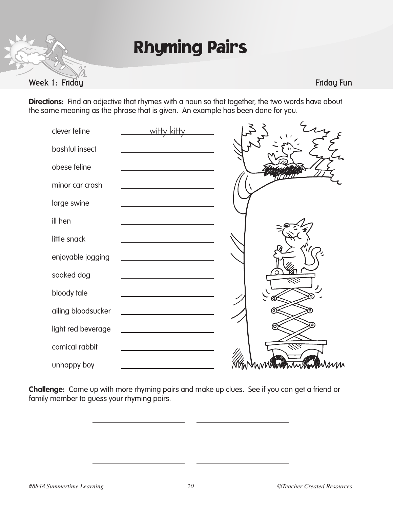

Week 1: Friday Function of the Contract of the Contract of the Contract of the Contract of the Friday Function

**Directions:** Find an adjective that rhymes with a noun so that together, the two words have about the same meaning as the phrase that is given. An example has been done for you.

| clever feline      | witty kitt                                                                                                           |   |
|--------------------|----------------------------------------------------------------------------------------------------------------------|---|
| bashful insect     |                                                                                                                      |   |
| obese feline       |                                                                                                                      |   |
| minor car crash    |                                                                                                                      |   |
| large swine        |                                                                                                                      |   |
| ill hen            |                                                                                                                      |   |
| little snack       |                                                                                                                      |   |
| enjoyable jogging  |                                                                                                                      |   |
| soaked dog         |                                                                                                                      |   |
| bloody tale        |                                                                                                                      |   |
| ailing bloodsucker |                                                                                                                      |   |
| light red beverage | <u> 1980 - Jan Barbara Barbara, prima popular popular popular popular popular popular popular popular popular po</u> |   |
| comical rabbit     |                                                                                                                      |   |
| unhappy boy        |                                                                                                                      | M |

**Challenge:** Come up with more rhyming pairs and make up clues. See if you can get a friend or family member to guess your rhyming pairs.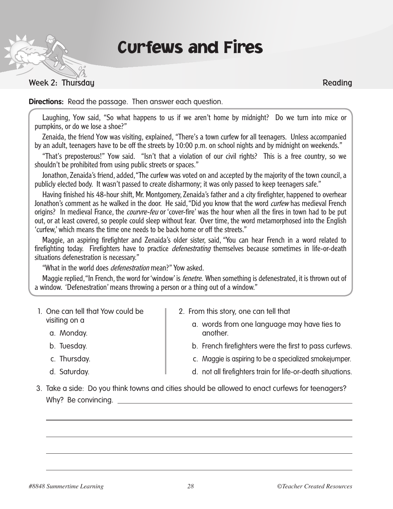## Curfews and Fires

### Week 2: Thursdau Reading

**Directions:** Read the passage. Then answer each question.

Laughing, Yow said, "So what happens to us if we aren't home by midnight? Do we turn into mice or pumpkins, or do we lose a shoe?"

Zenaida, the friend Yow was visiting, explained, "There's a town curfew for all teenagers. Unless accompanied by an adult, teenagers have to be off the streets by 10:00 p.m. on school nights and by midnight on weekends."

"That's preposterous!" Yow said. "Isn't that a violation of our civil rights? This is a free country, so we shouldn't be prohibited from using public streets or spaces."

Jonathon, Zenaida's friend, added, "The curfew was voted on and accepted by the majority of the town council, a publicly elected body. It wasn't passed to create disharmony; it was only passed to keep teenagers safe."

Having finished his 48-hour shift, Mr. Montgomery, Zenaida's father and a city firefighter, happened to overhear Jonathon's comment as he walked in the door. He said, "Did you know that the word curfew has medieval French origins? In medieval France, the *courvre-feu* or 'cover-fire' was the hour when all the fires in town had to be put out, or at least covered, so people could sleep without fear. Over time, the word metamorphosed into the English 'curfew,' which means the time one needs to be back home or off the streets."

Maggie, an aspiring firefighter and Zenaida's older sister, said, "You can hear French in a word related to firefighting today. Firefighters have to practice *defenestrating* themselves because sometimes in life-or-death situations defenestration is necessary."

"What in the world does *defenestration* mean?" Yow asked.

Maggie replied, "In French, the word for 'window' is *fenetre*. When something is defenestrated, it is thrown out of a window. 'Defenestration' means throwing a person or a thing out of a window."

- 1. One can tell that Yow could be visiting on a
	- a. Monday.
	- b. Tuesday.
	- c. Thursday.
	- d. Saturday.
- 2. From this story, one can tell that
	- a. words from one language may have ties to another.
	- b. French firefighters were the first to pass curfews.
	- c. Maggie is aspiring to be a specialized smokejumper.
	- d. not all firefighters train for life-or-death situations.
- 3. Take a side: Do you think towns and cities should be allowed to enact curfews for teenagers? Why? Be convincing.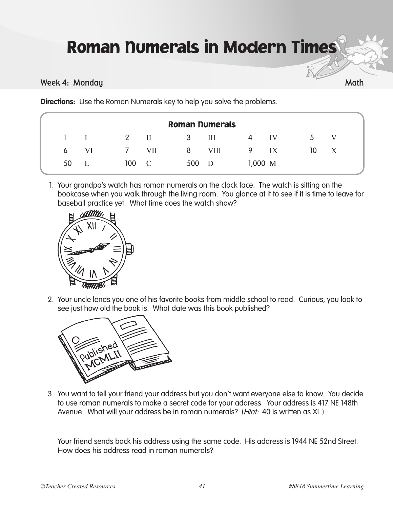# Roman Numerals in Modern Times

### Week 4: Monday Math

**Directions:** Use the Roman Numerals key to help you solve the problems.

| <b>Roman Numerals</b> |    |            |              |     |             |              |    |              |                           |
|-----------------------|----|------------|--------------|-----|-------------|--------------|----|--------------|---------------------------|
|                       |    |            |              | 3   | Ш           | 4            | IV | $\mathbf{b}$ | $\bf V$                   |
| 6                     | VI | $\sqrt{2}$ | <b>VII</b>   | 8   | <b>VIII</b> | 9            | IX | 10           | $\boldsymbol{\mathrm{X}}$ |
| 50                    |    | 100        | $\mathbb{C}$ | 500 | - D         | $1,000 \, M$ |    |              |                           |

1. Your grandpa's watch has roman numerals on the clock face. The watch is sitting on the bookcase when you walk through the living room. You glance at it to see if it is time to leave for baseball practice yet. What time does the watch show?



2. Your uncle lends you one of his favorite books from middle school to read. Curious, you look to see just how old the book is. What date was this book published?



3. You want to tell your friend your address but you don't want everyone else to know. You decide to use roman numerals to make a secret code for your address. Your address is 417 NE 148th Avenue. What will your address be in roman numerals? (*Hint:* 40 is written as XL.)

 Your friend sends back his address using the same code. His address is 1944 NE 52nd Street. How does his address read in roman numerals?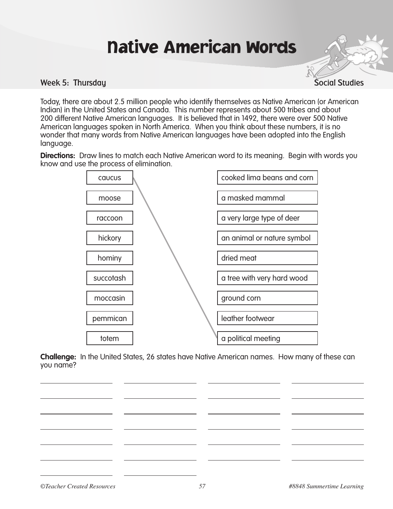# Native American Words

#### Week 5: Thursday Social Studies and the studies of the studies of the Social Studies of the Social Studies

Today, there are about 2.5 million people who identify themselves as Native American (or American Indian) in the United States and Canada. This number represents about 500 tribes and about 200 different Native American languages. It is believed that in 1492, there were over 500 Native American languages spoken in North America. When you think about these numbers, it is no wonder that many words from Native American languages have been adopted into the English language.

**Directions:** Draw lines to match each Native American word to its meaning. Begin with words you know and use the process of elimination.



**Challenge:** In the United States, 26 states have Native American names. How many of these can you name?